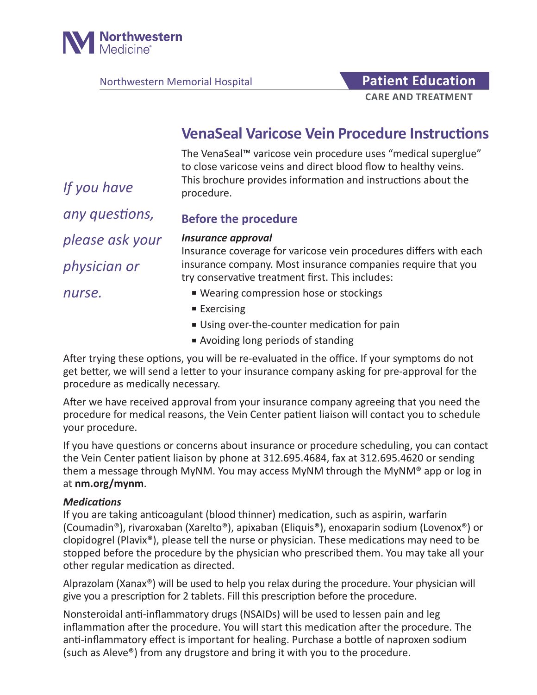

Northwestern Memorial Hospital **Patient Education** 

# **CARE AND TREATMENT**

## **VenaSeal Varicose Vein Procedure Instructions**

The VenaSeal™ varicose vein procedure uses "medical superglue" to close varicose veins and direct blood flow to healthy veins. This brochure provides information and instructions about the procedure.

*any questions,* 

*If you have* 

## **Before the procedure**

*please ask your* 

*physician or* 

*Insurance approval* Insurance coverage for varicose vein procedures differs with each insurance company. Most insurance companies require that you try conservative treatment first. This includes:

*nurse.*

- Wearing compression hose or stockings
- Exercising
- Using over-the-counter medication for pain
- Avoiding long periods of standing

After trying these options, you will be re-evaluated in the office. If your symptoms do not get better, we will send a letter to your insurance company asking for pre-approval for the procedure as medically necessary.

After we have received approval from your insurance company agreeing that you need the procedure for medical reasons, the Vein Center patient liaison will contact you to schedule your procedure.

If you have questions or concerns about insurance or procedure scheduling, you can contact the Vein Center patient liaison by phone at 312.695.4684, fax at 312.695.4620 or sending them a message through MyNM. You may access MyNM through the MyNM® app or log in at **nm.org/mynm**.

## *Medications*

If you are taking anticoagulant (blood thinner) medication, such as aspirin, warfarin (Coumadin®), rivaroxaban (Xarelto®), apixaban (Eliquis®), enoxaparin sodium (Lovenox®) or clopidogrel (Plavix®), please tell the nurse or physician. These medications may need to be stopped before the procedure by the physician who prescribed them. You may take all your other regular medication as directed.

Alprazolam (Xanax®) will be used to help you relax during the procedure. Your physician will give you a prescription for 2 tablets. Fill this prescription before the procedure.

Nonsteroidal anti-inflammatory drugs (NSAIDs) will be used to lessen pain and leg inflammation after the procedure. You will start this medication after the procedure. The anti-inflammatory effect is important for healing. Purchase a bottle of naproxen sodium (such as Aleve®) from any drugstore and bring it with you to the procedure.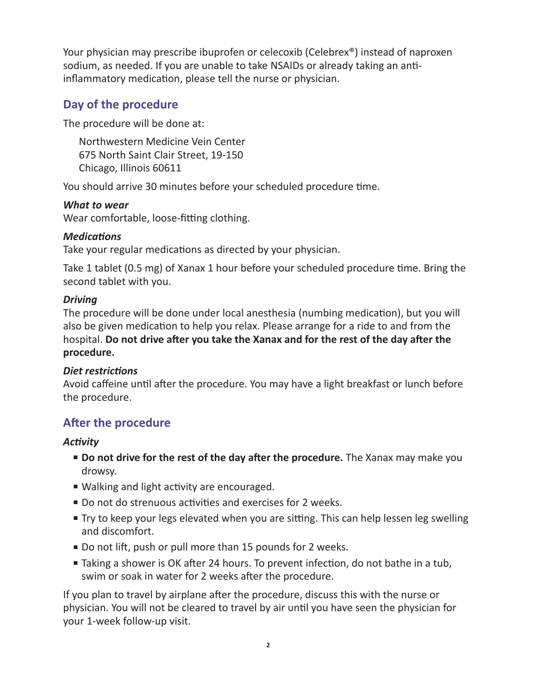Your physician may prescribe ibuprofen or celecoxib (Celebrex®) instead of naproxen sodium, as needed. If you are unable to take NSAIDs or already taking an antiinflammatory medication, please tell the nurse or physician.

## **Day of the procedure**

The procedure will be done at:

Northwestern Medicine Vein Center 675 North Saint Clair Street, 19-150 Chicago, Illinois 60611

You should arrive 30 minutes before your scheduled procedure time.

## *What to wear*

Wear comfortable, loose-fitting clothing.

## *Medications*

Take your regular medications as directed by your physician.

Take 1 tablet (0.5 mg) of Xanax 1 hour before your scheduled procedure time. Bring the second tablet with you.

## *Driving*

The procedure will be done under local anesthesia (numbing medication), but you will also be given medication to help you relax. Please arrange for a ride to and from the hospital. **Do not drive after you take the Xanax and for the rest of the day after the procedure.**

## *Diet restrictions*

Avoid caffeine until after the procedure. You may have a light breakfast or lunch before the procedure.

## **After the procedure**

## *Activity*

- **Do not drive for the rest of the day after the procedure.** The Xanax may make you drowsy.
- Walking and light activity are encouraged.
- Do not do strenuous activities and exercises for 2 weeks.
- Try to keep your legs elevated when you are sitting. This can help lessen leg swelling and discomfort.
- Do not lift, push or pull more than 15 pounds for 2 weeks.
- Taking a shower is OK after 24 hours. To prevent infection, do not bathe in a tub, swim or soak in water for 2 weeks after the procedure.

If you plan to travel by airplane after the procedure, discuss this with the nurse or physician. You will not be cleared to travel by air until you have seen the physician for your 1-week follow-up visit.